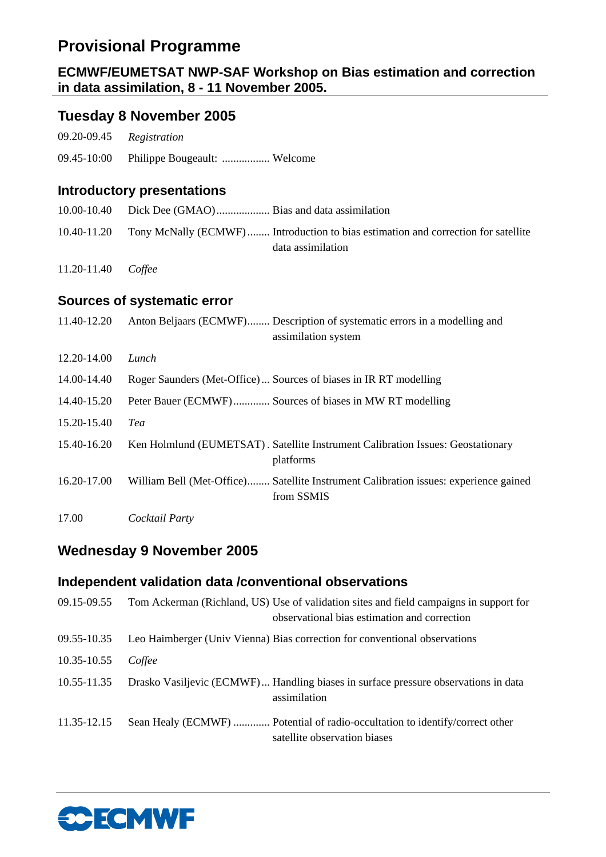# **Provisional Programme**

## **ECMWF/EUMETSAT NWP-SAF Workshop on Bias estimation and correction in data assimilation, 8 - 11 November 2005.**

## **Tuesday 8 November 2005**

| 09.20-09.45 | Registration                                                     |                                                                                                        |
|-------------|------------------------------------------------------------------|--------------------------------------------------------------------------------------------------------|
| 09.45-10:00 | Philippe Bougeault:  Welcome                                     |                                                                                                        |
|             | <b>Introductory presentations</b>                                |                                                                                                        |
| 10.00-10.40 |                                                                  |                                                                                                        |
| 10.40-11.20 |                                                                  | Tony McNally (ECMWF) Introduction to bias estimation and correction for satellite<br>data assimilation |
| 11.20-11.40 | Coffee                                                           |                                                                                                        |
|             | <b>Sources of systematic error</b>                               |                                                                                                        |
| 11.40-12.20 |                                                                  | Anton Beljaars (ECMWF) Description of systematic errors in a modelling and<br>assimilation system      |
| 12.20-14.00 | Lunch                                                            |                                                                                                        |
| 14.00-14.40 | Roger Saunders (Met-Office) Sources of biases in IR RT modelling |                                                                                                        |
| 14.40-15.20 | Peter Bauer (ECMWF) Sources of biases in MW RT modelling         |                                                                                                        |
| 15.20-15.40 | Tea                                                              |                                                                                                        |
| 15.40-16.20 |                                                                  | Ken Holmlund (EUMETSAT). Satellite Instrument Calibration Issues: Geostationary<br>platforms           |
| 16.20-17.00 |                                                                  | William Bell (Met-Office) Satellite Instrument Calibration issues: experience gained<br>from SSMIS     |
| 17.00       | Cocktail Party                                                   |                                                                                                        |

## **Wednesday 9 November 2005**

## **Independent validation data /conventional observations**

| 09.15-09.55 | Tom Ackerman (Richland, US) Use of validation sites and field campaigns in support for<br>observational bias estimation and correction |
|-------------|----------------------------------------------------------------------------------------------------------------------------------------|
| 09.55-10.35 | Leo Haimberger (Univ Vienna) Bias correction for conventional observations                                                             |
| 10.35-10.55 | Coffee                                                                                                                                 |
| 10.55-11.35 | Drasko Vasiljevic (ECMWF) Handling biases in surface pressure observations in data<br>assimilation                                     |
| 11.35-12.15 | Sean Healy (ECMWF)  Potential of radio-occultation to identify/correct other<br>satellite observation biases                           |